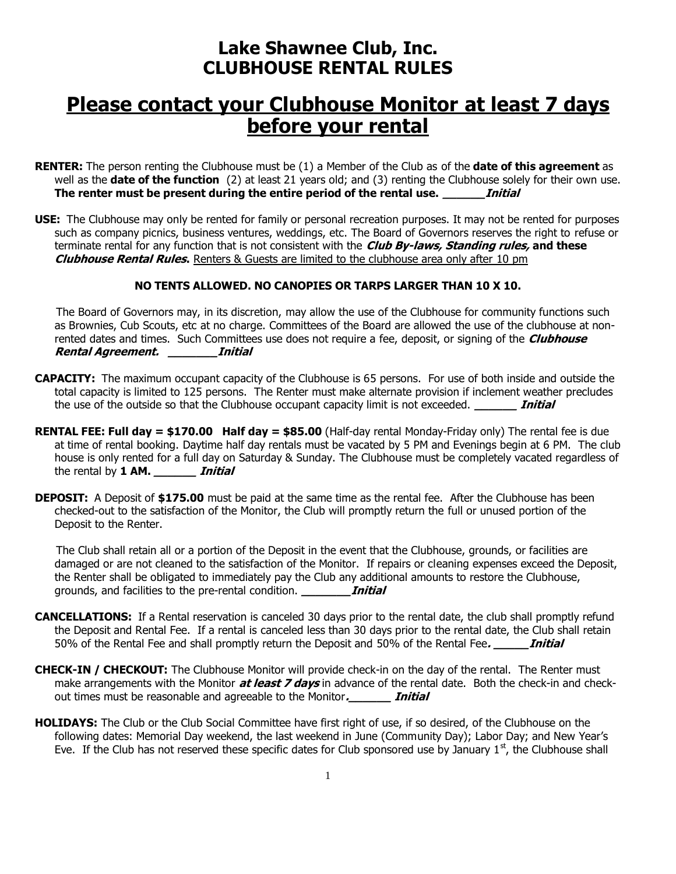## **Lake Shawnee Club, Inc. CLUBHOUSE RENTAL RULES**

## **Please contact your Clubhouse Monitor at least 7 days before your rental**

- **RENTER:** The person renting the Clubhouse must be (1) a Member of the Club as of the **date of this agreement** as well as the **date of the function** (2) at least 21 years old; and (3) renting the Clubhouse solely for their own use. **The renter must be present during the entire period of the rental use. \_\_\_\_\_\_Initial**
- **USE:** The Clubhouse may only be rented for family or personal recreation purposes. It may not be rented for purposes such as company picnics, business ventures, weddings, etc. The Board of Governors reserves the right to refuse or terminate rental for any function that is not consistent with the **Club By-laws, Standing rules, and these Clubhouse Rental Rules.** Renters & Guests are limited to the clubhouse area only after 10 pm

## **NO TENTS ALLOWED. NO CANOPIES OR TARPS LARGER THAN 10 X 10.**

 The Board of Governors may, in its discretion, may allow the use of the Clubhouse for community functions such as Brownies, Cub Scouts, etc at no charge. Committees of the Board are allowed the use of the clubhouse at nonrented dates and times. Such Committees use does not require a fee, deposit, or signing of the **Clubhouse Rental Agreement. \_\_\_\_\_\_\_Initial**

- **CAPACITY:** The maximum occupant capacity of the Clubhouse is 65 persons. For use of both inside and outside the total capacity is limited to 125 persons. The Renter must make alternate provision if inclement weather precludes the use of the outside so that the Clubhouse occupant capacity limit is not exceeded. **\_\_\_\_\_\_ Initial**
- **RENTAL FEE: Full day = \$170.00 Half day = \$85.00** (Half-day rental Monday-Friday only) The rental fee is due at time of rental booking. Daytime half day rentals must be vacated by 5 PM and Evenings begin at 6 PM. The club house is only rented for a full day on Saturday & Sunday. The Clubhouse must be completely vacated regardless of the rental by **1 AM. \_\_\_\_\_\_ Initial**
- **DEPOSIT:** A Deposit of \$175.00 must be paid at the same time as the rental fee. After the Clubhouse has been checked-out to the satisfaction of the Monitor, the Club will promptly return the full or unused portion of the Deposit to the Renter.

 The Club shall retain all or a portion of the Deposit in the event that the Clubhouse, grounds, or facilities are damaged or are not cleaned to the satisfaction of the Monitor. If repairs or cleaning expenses exceed the Deposit, the Renter shall be obligated to immediately pay the Club any additional amounts to restore the Clubhouse, grounds, and facilities to the pre-rental condition. **\_\_\_\_\_\_\_Initial**

- **CANCELLATIONS:** If a Rental reservation is canceled 30 days prior to the rental date, the club shall promptly refund the Deposit and Rental Fee. If a rental is canceled less than 30 days prior to the rental date, the Club shall retain 50% of the Rental Fee and shall promptly return the Deposit and 50% of the Rental Fee**. \_\_\_\_\_Initial**
- **CHECK-IN / CHECKOUT:** The Clubhouse Monitor will provide check-in on the day of the rental. The Renter must make arrangements with the Monitor **at least 7 days** in advance of the rental date. Both the check-in and checkout times must be reasonable and agreeable to the Monitor**.\_\_\_\_\_\_ Initial**
- **HOLIDAYS:** The Club or the Club Social Committee have first right of use, if so desired, of the Clubhouse on the following dates: Memorial Day weekend, the last weekend in June (Community Day); Labor Day; and New Year's Eve. If the Club has not reserved these specific dates for Club sponsored use by January  $1<sup>st</sup>$ , the Clubhouse shall